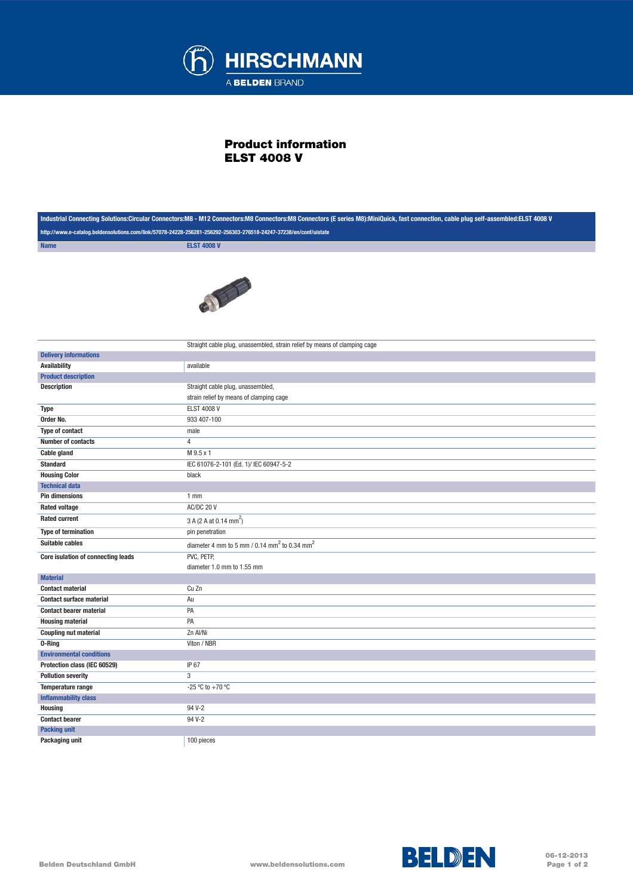

## Product information ELST 4008 V

| Industrial Connecting Solutions:Circular Connectors:M8 - M12 Connectors:M8 Connectors:M8 Connectors (E series M8):MiniQuick, fast connection, cable plug self-assembled:ELST 4008 V |                                                                           |
|-------------------------------------------------------------------------------------------------------------------------------------------------------------------------------------|---------------------------------------------------------------------------|
| http://www.e-catalog.beldensolutions.com/link/57078-24228-256281-256292-256303-276518-24247-37238/en/conf/uistate                                                                   |                                                                           |
| <b>Name</b>                                                                                                                                                                         | <b>ELST 4008 V</b>                                                        |
|                                                                                                                                                                                     |                                                                           |
|                                                                                                                                                                                     | Straight cable plug, unassembled, strain relief by means of clamping cage |
| <b>Delivery informations</b>                                                                                                                                                        |                                                                           |
| <b>Availability</b>                                                                                                                                                                 | available                                                                 |
| <b>Product description</b>                                                                                                                                                          |                                                                           |
| <b>Description</b>                                                                                                                                                                  | Straight cable plug, unassembled,                                         |
|                                                                                                                                                                                     | strain relief by means of clamping cage                                   |
| <b>Type</b>                                                                                                                                                                         | <b>ELST 4008 V</b>                                                        |
| Order No.                                                                                                                                                                           | 933 407-100                                                               |
| <b>Type of contact</b>                                                                                                                                                              | male                                                                      |
| <b>Number of contacts</b>                                                                                                                                                           | 4                                                                         |
| <b>Cable gland</b>                                                                                                                                                                  | M 9.5 x 1                                                                 |
| <b>Standard</b>                                                                                                                                                                     | IEC 61076-2-101 (Ed. 1)/ IEC 60947-5-2                                    |
| <b>Housing Color</b>                                                                                                                                                                | black                                                                     |
| <b>Technical data</b>                                                                                                                                                               |                                                                           |
| <b>Pin dimensions</b>                                                                                                                                                               | 1 <sub>mm</sub>                                                           |
| <b>Rated voltage</b>                                                                                                                                                                | AC/DC 20 V                                                                |
| <b>Rated current</b>                                                                                                                                                                | 3 A (2 A at 0.14 mm <sup>2</sup> )                                        |
| <b>Type of termination</b>                                                                                                                                                          | pin penetration                                                           |
| Suitable cables                                                                                                                                                                     | diameter 4 mm to 5 mm / $0.14$ mm <sup>2</sup> to $0.34$ mm <sup>2</sup>  |
| Core isulation of connecting leads                                                                                                                                                  | PVC, PETP,<br>diameter 1.0 mm to 1.55 mm                                  |
| <b>Material</b>                                                                                                                                                                     |                                                                           |
| <b>Contact material</b>                                                                                                                                                             | Cu Zn                                                                     |
| <b>Contact surface material</b>                                                                                                                                                     | Au                                                                        |
| <b>Contact bearer material</b>                                                                                                                                                      | PA                                                                        |
| <b>Housing material</b>                                                                                                                                                             | PA                                                                        |
| <b>Coupling nut material</b>                                                                                                                                                        | Zn Al/Ni                                                                  |
| 0-Ring                                                                                                                                                                              | Viton / NBR                                                               |
| <b>Environmental conditions</b>                                                                                                                                                     |                                                                           |
| Protection class (IEC 60529)                                                                                                                                                        | IP 67                                                                     |
| <b>Pollution severity</b>                                                                                                                                                           | 3                                                                         |
| Temperature range                                                                                                                                                                   | -25 °C to +70 °C                                                          |
| <b>Inflammability class</b>                                                                                                                                                         |                                                                           |
| Housing                                                                                                                                                                             | 94 V-2                                                                    |
| <b>Contact bearer</b>                                                                                                                                                               | 94 V-2                                                                    |
| <b>Packing unit</b>                                                                                                                                                                 |                                                                           |
| Packaging unit                                                                                                                                                                      | 100 pieces                                                                |